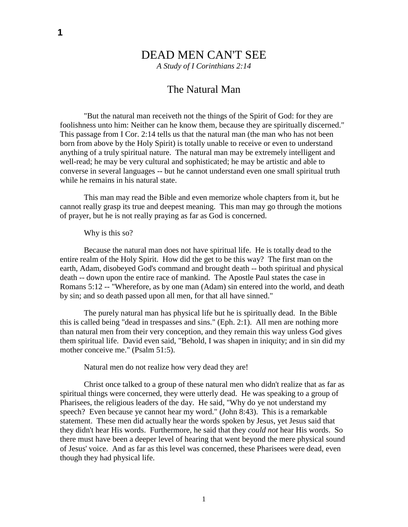# DEAD MEN CAN'T SEE

*A Study of I Corinthians 2:14*

## The Natural Man

"But the natural man receiveth not the things of the Spirit of God: for they are foolishness unto him: Neither can he know them, because they are spiritually discerned." This passage from I Cor. 2:14 tells us that the natural man (the man who has not been born from above by the Holy Spirit) is totally unable to receive or even to understand anything of a truly spiritual nature. The natural man may be extremely intelligent and well-read; he may be very cultural and sophisticated; he may be artistic and able to converse in several languages -- but he cannot understand even one small spiritual truth while he remains in his natural state.

This man may read the Bible and even memorize whole chapters from it, but he cannot really grasp its true and deepest meaning. This man may go through the motions of prayer, but he is not really praying as far as God is concerned.

### Why is this so?

Because the natural man does not have spiritual life. He is totally dead to the entire realm of the Holy Spirit. How did the get to be this way? The first man on the earth, Adam, disobeyed God's command and brought death -- both spiritual and physical death -- down upon the entire race of mankind. The Apostle Paul states the case in Romans 5:12 -- "Wherefore, as by one man (Adam) sin entered into the world, and death by sin; and so death passed upon all men, for that all have sinned."

The purely natural man has physical life but he is spiritually dead. In the Bible this is called being "dead in trespasses and sins." (Eph. 2:1). All men are nothing more than natural men from their very conception, and they remain this way unless God gives them spiritual life. David even said, "Behold, I was shapen in iniquity; and in sin did my mother conceive me." (Psalm 51:5).

Natural men do not realize how very dead they are!

Christ once talked to a group of these natural men who didn't realize that as far as spiritual things were concerned, they were utterly dead. He was speaking to a group of Pharisees, the religious leaders of the day. He said, "Why do ye not understand my speech? Even because ye cannot hear my word." (John 8:43). This is a remarkable statement. These men did actually hear the words spoken by Jesus, yet Jesus said that they didn't hear His words. Furthermore, he said that they *could not* hear His words. So there must have been a deeper level of hearing that went beyond the mere physical sound of Jesus' voice. And as far as this level was concerned, these Pharisees were dead, even though they had physical life.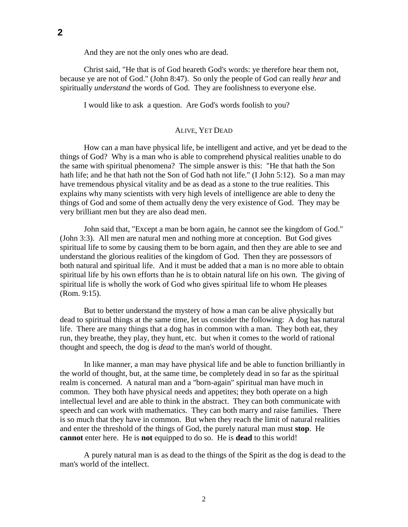And they are not the only ones who are dead.

Christ said, "He that is of God heareth God's words: ye therefore hear them not, because ye are not of God." (John 8:47). So only the people of God can really *hear* and spiritually *understand* the words of God. They are foolishness to everyone else.

I would like to ask a question. Are God's words foolish to you?

#### ALIVE, YET DEAD

How can a man have physical life, be intelligent and active, and yet be dead to the things of God? Why is a man who is able to comprehend physical realities unable to do the same with spiritual phenomena? The simple answer is this: "He that hath the Son hath life; and he that hath not the Son of God hath not life." (I John 5:12). So a man may have tremendous physical vitality and be as dead as a stone to the true realities. This explains why many scientists with very high levels of intelligence are able to deny the things of God and some of them actually deny the very existence of God. They may be very brilliant men but they are also dead men.

John said that, "Except a man be born again, he cannot see the kingdom of God." (John 3:3). All men are natural men and nothing more at conception. But God gives spiritual life to some by causing them to be born again, and then they are able to see and understand the glorious realities of the kingdom of God. Then they are possessors of both natural and spiritual life. And it must be added that a man is no more able to obtain spiritual life by his own efforts than he is to obtain natural life on his own. The giving of spiritual life is wholly the work of God who gives spiritual life to whom He pleases (Rom. 9:15).

But to better understand the mystery of how a man can be alive physically but dead to spiritual things at the same time, let us consider the following: A dog has natural life. There are many things that a dog has in common with a man. They both eat, they run, they breathe, they play, they hunt, etc. but when it comes to the world of rational thought and speech, the dog is *dead* to the man's world of thought.

In like manner, a man may have physical life and be able to function brilliantly in the world of thought, but, at the same time, be completely dead in so far as the spiritual realm is concerned. A natural man and a "born-again" spiritual man have much in common. They both have physical needs and appetites; they both operate on a high intellectual level and are able to think in the abstract. They can both communicate with speech and can work with mathematics. They can both marry and raise families. There is so much that they have in common. But when they reach the limit of natural realities and enter the threshold of the things of God, the purely natural man must **stop**. He **cannot** enter here. He is **not** equipped to do so. He is **dead** to this world!

A purely natural man is as dead to the things of the Spirit as the dog is dead to the man's world of the intellect.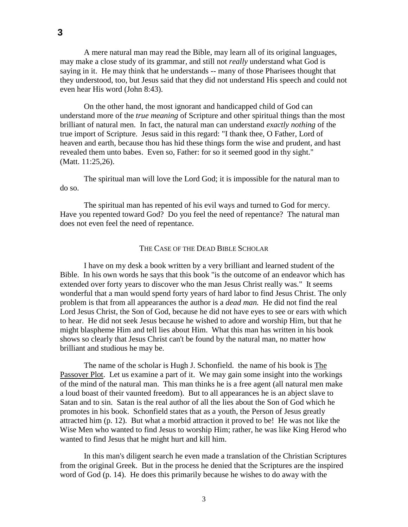A mere natural man may read the Bible, may learn all of its original languages, may make a close study of its grammar, and still not *really* understand what God is saying in it. He may think that he understands -- many of those Pharisees thought that they understood, too, but Jesus said that they did not understand His speech and could not

On the other hand, the most ignorant and handicapped child of God can understand more of the *true meaning* of Scripture and other spiritual things than the most brilliant of natural men. In fact, the natural man can understand *exactly nothing* of the true import of Scripture. Jesus said in this regard: "I thank thee, O Father, Lord of heaven and earth, because thou has hid these things form the wise and prudent, and hast revealed them unto babes. Even so, Father: for so it seemed good in thy sight." (Matt. 11:25,26).

The spiritual man will love the Lord God; it is impossible for the natural man to do so.

The spiritual man has repented of his evil ways and turned to God for mercy. Have you repented toward God? Do you feel the need of repentance? The natural man does not even feel the need of repentance.

### THE CASE OF THE DEAD BIBLE SCHOLAR

I have on my desk a book written by a very brilliant and learned student of the Bible. In his own words he says that this book "is the outcome of an endeavor which has extended over forty years to discover who the man Jesus Christ really was." It seems wonderful that a man would spend forty years of hard labor to find Jesus Christ. The only problem is that from all appearances the author is a *dead man.* He did not find the real Lord Jesus Christ, the Son of God, because he did not have eyes to see or ears with which to hear. He did not seek Jesus because he wished to adore and worship Him, but that he might blaspheme Him and tell lies about Him. What this man has written in his book shows so clearly that Jesus Christ can't be found by the natural man, no matter how brilliant and studious he may be.

The name of the scholar is Hugh J. Schonfield. the name of his book is The Passover Plot. Let us examine a part of it. We may gain some insight into the workings of the mind of the natural man. This man thinks he is a free agent (all natural men make a loud boast of their vaunted freedom). But to all appearances he is an abject slave to Satan and to sin. Satan is the real author of all the lies about the Son of God which he promotes in his book. Schonfield states that as a youth, the Person of Jesus greatly attracted him (p. 12). But what a morbid attraction it proved to be! He was not like the Wise Men who wanted to find Jesus to worship Him; rather, he was like King Herod who wanted to find Jesus that he might hurt and kill him.

In this man's diligent search he even made a translation of the Christian Scriptures from the original Greek. But in the process he denied that the Scriptures are the inspired word of God (p. 14). He does this primarily because he wishes to do away with the

even hear His word (John 8:43).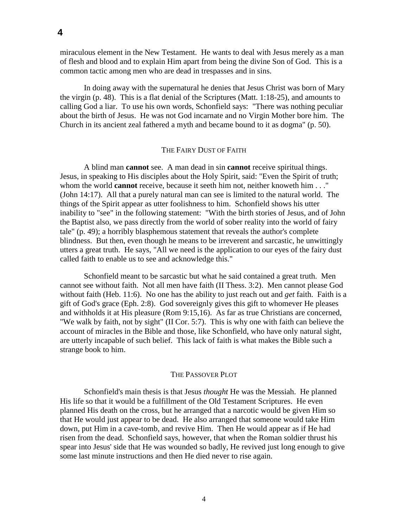miraculous element in the New Testament. He wants to deal with Jesus merely as a man of flesh and blood and to explain Him apart from being the divine Son of God. This is a common tactic among men who are dead in trespasses and in sins.

In doing away with the supernatural he denies that Jesus Christ was born of Mary the virgin (p. 48). This is a flat denial of the Scriptures (Matt. 1:18-25), and amounts to calling God a liar. To use his own words, Schonfield says: "There was nothing peculiar about the birth of Jesus. He was not God incarnate and no Virgin Mother bore him. The Church in its ancient zeal fathered a myth and became bound to it as dogma" (p. 50).

### THE FAIRY DUST OF FAITH

A blind man **cannot** see. A man dead in sin **cannot** receive spiritual things. Jesus, in speaking to His disciples about the Holy Spirit, said: "Even the Spirit of truth; whom the world **cannot** receive, because it seeth him not, neither knoweth him . . ." (John 14:17). All that a purely natural man can see is limited to the natural world. The things of the Spirit appear as utter foolishness to him. Schonfield shows his utter inability to "see" in the following statement: "With the birth stories of Jesus, and of John the Baptist also, we pass directly from the world of sober reality into the world of fairy tale" (p. 49); a horribly blasphemous statement that reveals the author's complete blindness. But then, even though he means to be irreverent and sarcastic, he unwittingly utters a great truth. He says, "All we need is the application to our eyes of the fairy dust called faith to enable us to see and acknowledge this."

Schonfield meant to be sarcastic but what he said contained a great truth. Men cannot see without faith. Not all men have faith (II Thess. 3:2). Men cannot please God without faith (Heb. 11:6). No one has the ability to just reach out and *get* faith. Faith is a gift of God's grace (Eph. 2:8). God sovereignly gives this gift to whomever He pleases and withholds it at His pleasure (Rom 9:15,16). As far as true Christians are concerned, "We walk by faith, not by sight" (II Cor. 5:7). This is why one with faith can believe the account of miracles in the Bible and those, like Schonfield, who have only natural sight, are utterly incapable of such belief. This lack of faith is what makes the Bible such a strange book to him.

### THE PASSOVER PLOT

Schonfield's main thesis is that Jesus *thought* He was the Messiah. He planned His life so that it would be a fulfillment of the Old Testament Scriptures. He even planned His death on the cross, but he arranged that a narcotic would be given Him so that He would just appear to be dead. He also arranged that someone would take Him down, put Him in a cave-tomb, and revive Him. Then He would appear as if He had risen from the dead. Schonfield says, however, that when the Roman soldier thrust his spear into Jesus' side that He was wounded so badly, He revived just long enough to give some last minute instructions and then He died never to rise again.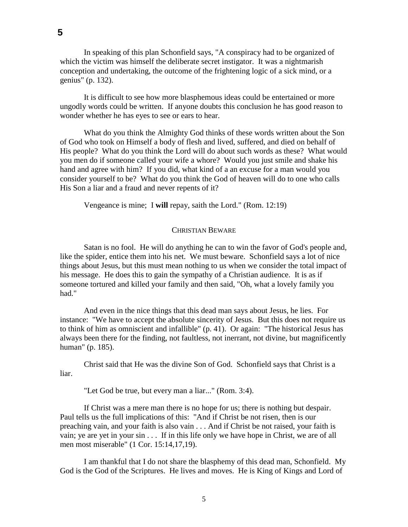In speaking of this plan Schonfield says, "A conspiracy had to be organized of which the victim was himself the deliberate secret instigator. It was a nightmarish conception and undertaking, the outcome of the frightening logic of a sick mind, or a genius" (p. 132).

It is difficult to see how more blasphemous ideas could be entertained or more ungodly words could be written. If anyone doubts this conclusion he has good reason to wonder whether he has eyes to see or ears to hear.

What do you think the Almighty God thinks of these words written about the Son of God who took on Himself a body of flesh and lived, suffered, and died on behalf of His people? What do you think the Lord will do about such words as these? What would you men do if someone called your wife a whore? Would you just smile and shake his hand and agree with him? If you did, what kind of a an excuse for a man would you consider yourself to be? What do you think the God of heaven will do to one who calls His Son a liar and a fraud and never repents of it?

Vengeance is mine; I **will** repay, saith the Lord." (Rom. 12:19)

### CHRISTIAN BEWARE

Satan is no fool. He will do anything he can to win the favor of God's people and, like the spider, entice them into his net. We must beware. Schonfield says a lot of nice things about Jesus, but this must mean nothing to us when we consider the total impact of his message. He does this to gain the sympathy of a Christian audience. It is as if someone tortured and killed your family and then said, "Oh, what a lovely family you had."

And even in the nice things that this dead man says about Jesus, he lies. For instance: "We have to accept the absolute sincerity of Jesus. But this does not require us to think of him as omniscient and infallible" (p. 41). Or again: "The historical Jesus has always been there for the finding, not faultless, not inerrant, not divine, but magnificently human" (p. 185).

Christ said that He was the divine Son of God. Schonfield says that Christ is a liar.

"Let God be true, but every man a liar..." (Rom. 3:4).

If Christ was a mere man there is no hope for us; there is nothing but despair. Paul tells us the full implications of this: "And if Christ be not risen, then is our preaching vain, and your faith is also vain . . . And if Christ be not raised, your faith is vain; ye are yet in your sin . . . If in this life only we have hope in Christ, we are of all men most miserable" (1 Cor. 15:14,17,19).

I am thankful that I do not share the blasphemy of this dead man, Schonfield. My God is the God of the Scriptures. He lives and moves. He is King of Kings and Lord of